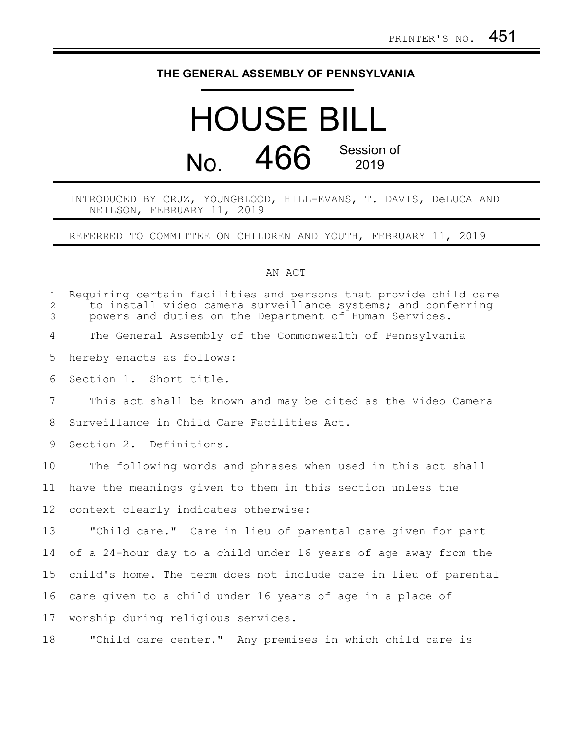## **THE GENERAL ASSEMBLY OF PENNSYLVANIA**

## HOUSE BILL No. 466 Session of

INTRODUCED BY CRUZ, YOUNGBLOOD, HILL-EVANS, T. DAVIS, DeLUCA AND NEILSON, FEBRUARY 11, 2019

REFERRED TO COMMITTEE ON CHILDREN AND YOUTH, FEBRUARY 11, 2019

## AN ACT

| $\mathbf{1}$<br>$\overline{2}$<br>3 | Requiring certain facilities and persons that provide child care<br>to install video camera surveillance systems; and conferring<br>powers and duties on the Department of Human Services. |
|-------------------------------------|--------------------------------------------------------------------------------------------------------------------------------------------------------------------------------------------|
| 4                                   | The General Assembly of the Commonwealth of Pennsylvania                                                                                                                                   |
| 5                                   | hereby enacts as follows:                                                                                                                                                                  |
| 6                                   | Section 1. Short title.                                                                                                                                                                    |
| $\overline{7}$                      | This act shall be known and may be cited as the Video Camera                                                                                                                               |
| 8                                   | Surveillance in Child Care Facilities Act.                                                                                                                                                 |
| 9                                   | Section 2. Definitions.                                                                                                                                                                    |
| 10                                  | The following words and phrases when used in this act shall                                                                                                                                |
| 11                                  | have the meanings given to them in this section unless the                                                                                                                                 |
| 12                                  | context clearly indicates otherwise:                                                                                                                                                       |
| 13                                  | "Child care." Care in lieu of parental care given for part                                                                                                                                 |
| 14                                  | of a 24-hour day to a child under 16 years of age away from the                                                                                                                            |
| 15                                  | child's home. The term does not include care in lieu of parental                                                                                                                           |
| 16                                  | care given to a child under 16 years of age in a place of                                                                                                                                  |
| 17                                  | worship during religious services.                                                                                                                                                         |
| 18                                  | "Child care center." Any premises in which child care is                                                                                                                                   |